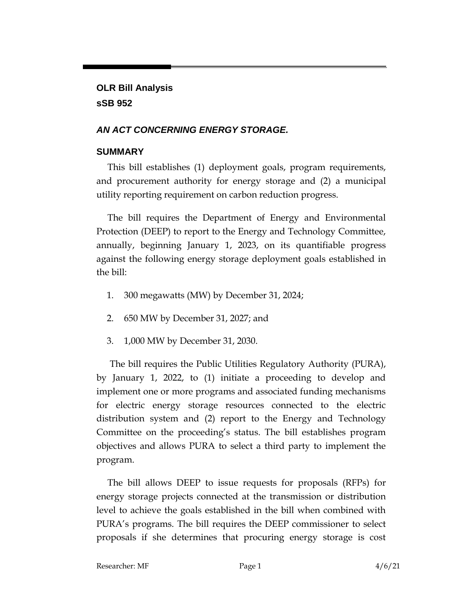**OLR Bill Analysis sSB 952**

## *AN ACT CONCERNING ENERGY STORAGE.*

## **SUMMARY**

This bill establishes (1) deployment goals, program requirements, and procurement authority for energy storage and (2) a municipal utility reporting requirement on carbon reduction progress.

The bill requires the Department of Energy and Environmental Protection (DEEP) to report to the Energy and Technology Committee, annually, beginning January 1, 2023, on its quantifiable progress against the following energy storage deployment goals established in the bill:

- 1. 300 megawatts (MW) by December 31, 2024;
- 2. 650 MW by December 31, 2027; and
- 3. 1,000 MW by December 31, 2030.

The bill requires the Public Utilities Regulatory Authority (PURA), by January 1, 2022, to (1) initiate a proceeding to develop and implement one or more programs and associated funding mechanisms for electric energy storage resources connected to the electric distribution system and (2) report to the Energy and Technology Committee on the proceeding's status. The bill establishes program objectives and allows PURA to select a third party to implement the program.

The bill allows DEEP to issue requests for proposals (RFPs) for energy storage projects connected at the transmission or distribution level to achieve the goals established in the bill when combined with PURA's programs. The bill requires the DEEP commissioner to select proposals if she determines that procuring energy storage is cost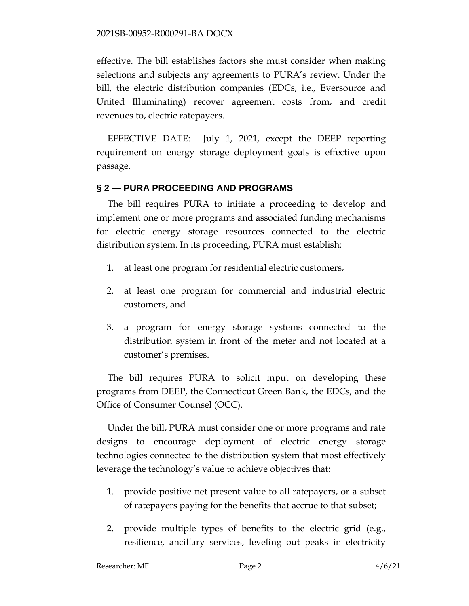effective. The bill establishes factors she must consider when making selections and subjects any agreements to PURA's review. Under the bill, the electric distribution companies (EDCs, i.e., Eversource and United Illuminating) recover agreement costs from, and credit revenues to, electric ratepayers.

EFFECTIVE DATE: July 1, 2021, except the DEEP reporting requirement on energy storage deployment goals is effective upon passage.

### **§ 2 — PURA PROCEEDING AND PROGRAMS**

The bill requires PURA to initiate a proceeding to develop and implement one or more programs and associated funding mechanisms for electric energy storage resources connected to the electric distribution system. In its proceeding, PURA must establish:

- 1. at least one program for residential electric customers,
- 2. at least one program for commercial and industrial electric customers, and
- 3. a program for energy storage systems connected to the distribution system in front of the meter and not located at a customer's premises.

The bill requires PURA to solicit input on developing these programs from DEEP, the Connecticut Green Bank, the EDCs, and the Office of Consumer Counsel (OCC).

Under the bill, PURA must consider one or more programs and rate designs to encourage deployment of electric energy storage technologies connected to the distribution system that most effectively leverage the technology's value to achieve objectives that:

- 1. provide positive net present value to all ratepayers, or a subset of ratepayers paying for the benefits that accrue to that subset;
- 2. provide multiple types of benefits to the electric grid (e.g., resilience, ancillary services, leveling out peaks in electricity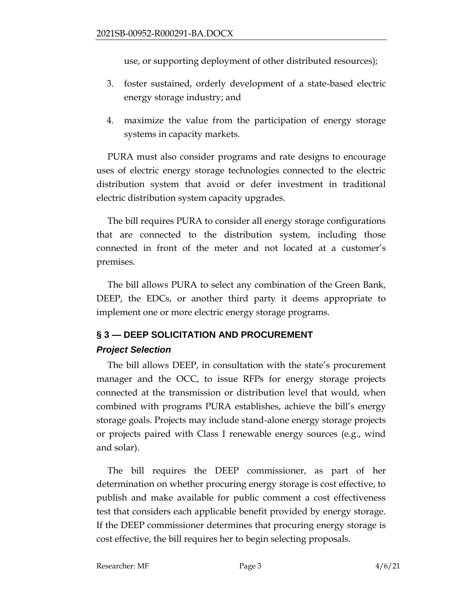use, or supporting deployment of other distributed resources);

- 3. foster sustained, orderly development of a state-based electric energy storage industry; and
- 4. maximize the value from the participation of energy storage systems in capacity markets.

PURA must also consider programs and rate designs to encourage uses of electric energy storage technologies connected to the electric distribution system that avoid or defer investment in traditional electric distribution system capacity upgrades.

The bill requires PURA to consider all energy storage configurations that are connected to the distribution system, including those connected in front of the meter and not located at a customer's premises.

The bill allows PURA to select any combination of the Green Bank, DEEP, the EDCs, or another third party it deems appropriate to implement one or more electric energy storage programs.

# **§ 3 — DEEP SOLICITATION AND PROCUREMENT**

#### *Project Selection*

The bill allows DEEP, in consultation with the state's procurement manager and the OCC, to issue RFPs for energy storage projects connected at the transmission or distribution level that would, when combined with programs PURA establishes, achieve the bill's energy storage goals. Projects may include stand-alone energy storage projects or projects paired with Class I renewable energy sources (e.g., wind and solar).

The bill requires the DEEP commissioner, as part of her determination on whether procuring energy storage is cost effective, to publish and make available for public comment a cost effectiveness test that considers each applicable benefit provided by energy storage. If the DEEP commissioner determines that procuring energy storage is cost effective, the bill requires her to begin selecting proposals.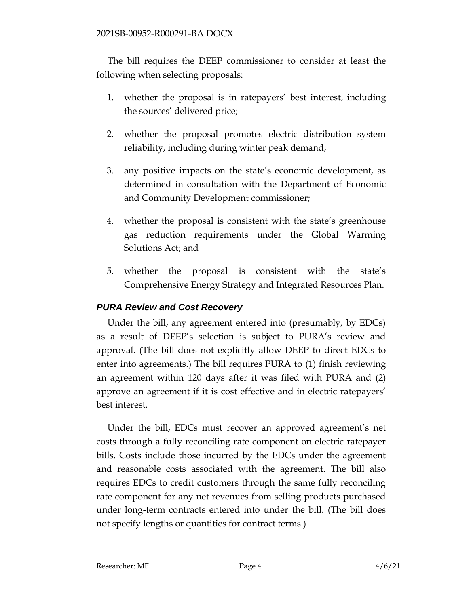The bill requires the DEEP commissioner to consider at least the following when selecting proposals:

- 1. whether the proposal is in ratepayers' best interest, including the sources' delivered price;
- 2. whether the proposal promotes electric distribution system reliability, including during winter peak demand;
- 3. any positive impacts on the state's economic development, as determined in consultation with the Department of Economic and Community Development commissioner;
- 4. whether the proposal is consistent with the state's greenhouse gas reduction requirements under the Global Warming Solutions Act; and
- 5. whether the proposal is consistent with the state's Comprehensive Energy Strategy and Integrated Resources Plan.

## *PURA Review and Cost Recovery*

Under the bill, any agreement entered into (presumably, by EDCs) as a result of DEEP's selection is subject to PURA's review and approval. (The bill does not explicitly allow DEEP to direct EDCs to enter into agreements.) The bill requires PURA to (1) finish reviewing an agreement within 120 days after it was filed with PURA and (2) approve an agreement if it is cost effective and in electric ratepayers' best interest.

Under the bill, EDCs must recover an approved agreement's net costs through a fully reconciling rate component on electric ratepayer bills. Costs include those incurred by the EDCs under the agreement and reasonable costs associated with the agreement. The bill also requires EDCs to credit customers through the same fully reconciling rate component for any net revenues from selling products purchased under long-term contracts entered into under the bill. (The bill does not specify lengths or quantities for contract terms.)